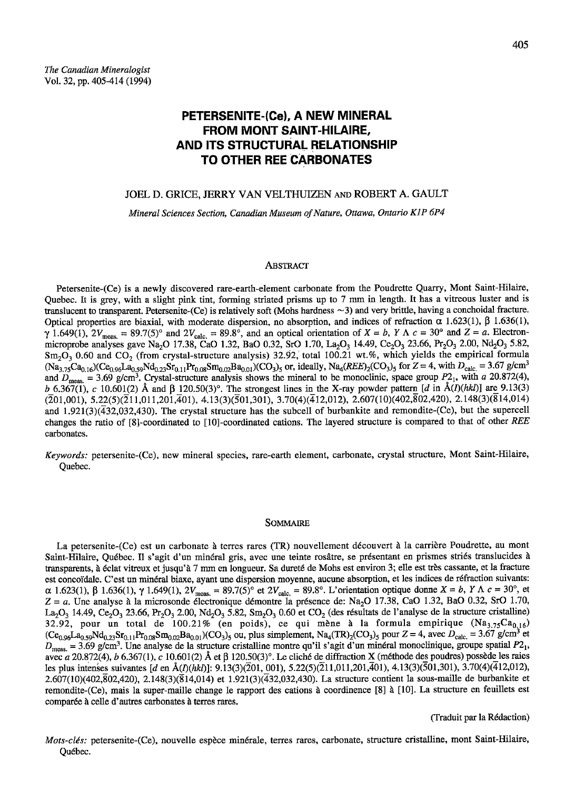## PETERSENITE-(Ce), A NEW MINERAL **FROM MONT SAINT-HILAIRE,** AND ITS STRUCTURAL RELATIONSHIP TO OTHER REE CARBONATES

### JOEL D. GRICE, JERRY VAN VELTHUIZEN AND ROBERT A. GAULT

Mineral Sciences Section, Canadian Museum of Nature, Ottawa, Ontario K1P 6P4

#### ABSTRACT

Petersenite-(Ce) is a newly discovered rare-earth-element carbonate from the Poudrette Quarry, Mont Saint-Hilaire, Quebec. It is grey, with a slight pink tint, forming striated prisms up to 7 mm in length. It has a vitreous luster and is translucent to transparent. Petersenite-(Ce) is relatively soft (Mohs hardness  $\sim$ 3) and very brittle, having a conchoidal fracture. Optical properties are biaxial, with moderate dispersion, no absorption, and indices of refraction  $\alpha$  1.623(1),  $\beta$  1.636(1),  $\gamma$  1.649(1),  $2V_{\text{meas}} = 89.7(5)^\circ$  and  $2V_{\text{calc}} = 89.8^\circ$ , and an optical orientation of  $X = b$ ,  $Y \Lambda c = 30^\circ$  and  $Z = a$ . Electronmicroprobe analyses gave Na<sub>2</sub>O 17.38, CaO 1.32, BaO 0.32, SrO 1.70, La<sub>2</sub>O<sub>3</sub> 14.49, Ce<sub>2</sub>O<sub>3</sub> 23.66, Pr<sub>2</sub>O<sub>3</sub> 2.00, Nd<sub>2</sub>O<sub>3</sub> 5.82,  $Sm_2O_3$  0.60 and CO<sub>2</sub> (from crystal-structure analysis) 32.92, total 100.21 wt.%, which yields the empirical formula  $(Na_{3.75}Ca_{0.16})(Ce_{0.96}La_{0.59}Nd_{0.23}Sr_{0.11}Pr_{0.08}Sm_{0.02}Ba_{0.01})(CO_3)_{5}$  or, ideally,  $Na_4(REE)_2(CO_3)_{5}$  for  $Z = 4$ , with  $D_{calc.} = 3.67$  g/cm<sup>3</sup> and  $D_{\text{meas}} = 3.69$  g/cm<sup>3</sup>. Crystal-structure analysis shows the mineral to be monoclinic, space group  $P_1$ , with a 20.872(4), b 6.367(1), c 10.601(2) Å and  $\beta$  120.50(3)°. The strongest lines in the X-ray powder pattern [d in Å(I)(hkl)] are 9.13(3) (201,001), 5.22(5)(211,011,201,401), 4.13(3)(501,301), 3.70(4)(412,012), 2.607(10)(402,802,420), 2.148(3)(814,014) and 1.921(3)(432,032,430). The crystal structure has the subcell of burbankite and remondite-(Ce), but the supercell changes the ratio of [8]-coordinated to [10]-coordinated cations. The layered structure is compared to that of other REE carbonates.

Keywords: petersenite-(Ce), new mineral species, rare-earth element, carbonate, crystal structure, Mont Saint-Hilaire, Quebec.

#### **SOMMAIRE**

La petersenite-(Ce) est un carbonate à terres rares (TR) nouvellement découvert à la carrière Poudrette, au mont Saint-Hilaire, Québec. Il s'agit d'un minéral gris, avec une teinte rosâtre, se présentant en prismes striés translucides à transparents, à éclat vitreux et jusqu'à 7 mm en longueur. Sa dureté de Mohs est environ 3; elle est très cassante, et la fracture est concoïdale. C'est un minéral biaxe, ayant une dispersion moyenne, aucune absorption, et les indices de réfraction suivants: α 1.623(1), β 1.636(1), γ 1.649(1), 2V<sub>meas,</sub> = 89.7(5)° et 2V<sub>calc</sub> = 89.8°. L'orientation optique donne  $X = b$ ,  $Y \Lambda c = 30^{\circ}$ , et  $Z = a$ . Une analyse à la microsonde électronique démontre la présence de: Na<sub>2</sub>O 17.38, CaO 1.32, BaO 0.32, SrO 1.70, La<sub>2</sub>O<sub>3</sub> 14.49, Ce<sub>2</sub>O<sub>3</sub> 23.66, Pr<sub>2</sub>O<sub>3</sub> 2.00, Nd<sub>2</sub>O<sub>3</sub> 5.82, Sm<sub>2</sub>O<sub>3</sub> 0.60 et CO<sub>2</sub> (des résultats de l'analyse de la structure cristalline) 32.92, pour un total de 100.21% (en poids), ce qui mène à la formula empirique  $(Na_{3.75}Ca_{0.16})$  $(Ce_{0.96}La_{0.59}Nd_{0.23}Sr_{0.11}Pr_{0.08}Sm_{0.02}Ba_{0.01}) (CO_3)_{5}$  ou, plus simplement,  $Na_4(TR)_2(CO_3)_{5}$  pour  $Z = 4$ , avec  $D_{calc.} = 3.67$  g/cm<sup>3</sup> et  $D_{\text{meas}} = 3.69 \text{ g/cm}^3$ . Une analyse de la structure cristalline montre qu'il s'agit d'un minéral monoclinique, groupe spatial  $P_2$ , avec a 20.872(4), b 6.367(1), c 10.601(2) Å et  $\beta$  120.50(3)°. Le cliché de diffraction X (méthode des poudres) possède les raies les plus intenses suivantes [d en Å(I)(hkI)]: 9.13(3)(201, 001), 5.22(5)(211,011,201,401), 4.13(3)(501,301), 3.70(4)(412,012),  $2.607(10)(402,\overline{8}02,420)$ ,  $2.148(3)(\overline{8}14,014)$  et  $1.921(3)(\overline{4}32,032,430)$ . La structure contient la sous-maille de burbankite et remondite-(Ce), mais la super-maille change le rapport des cations à coordinence [8] à [10]. La structure en feuillets est comparée à celle d'autres carbonates à terres rares.

(Traduit par la Rédaction)

Mots-clés: petersenite-(Ce), nouvelle espèce minérale, terres rares, carbonate, structure cristalline, mont Saint-Hilaire, Québec.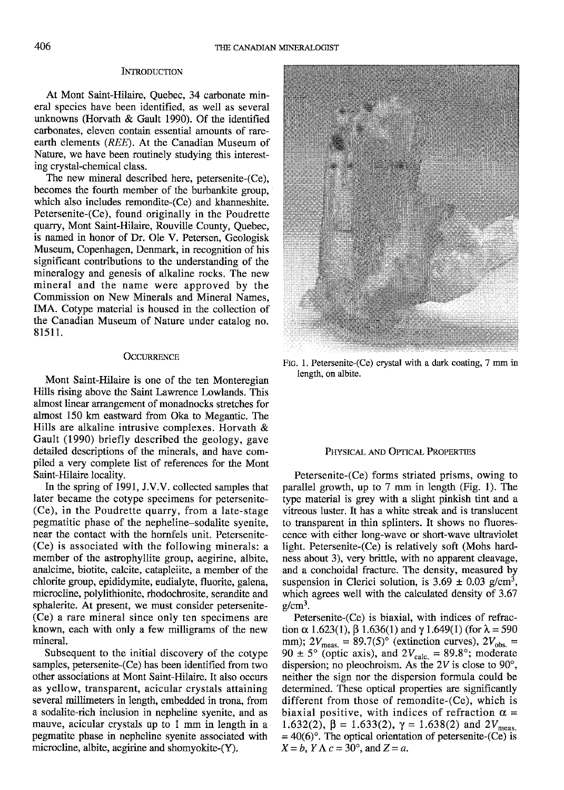#### **INTRODUCTION**

At Mont Saint-Hilaire, Quebec, 34 carbonate mineral species have been identified, as well as several unknowns (Horvath & Gault 1990). Of the identified carbonates, eleven contain essential amounts of rareearth elements (REE). At the Canadian Museum of Nature, we have been routinely studying this interesting crystal-chemical class.

The new mineral described here, petersenite-(Ce), becomes the fourth member of the burbankite group, which also includes remondite-(Ce) and khanneshite. Petersenite-(Ce), found originally in the Poudrette quarry, Mont Saint-Hilaire, Rouville County, Quebec, is named in honor of Dr. Ole V. Petersen, Geologisk Museum, Copenhagen, Denmark, in recognition of his significant contributions to the understanding of the mineralogy and genesis of alkaline rocks. The new mineral and the name were approved by the Commission on New Minerals and Mineral Names, MA. Cotype material is housed in the collection of the Canadian Museum of Nature under catalos no. 81511.

#### **OCCURRENCE**

Mont Saint-Hilaire is one of the ten Monteregian Hills rising above the Saint Lawrence Lowlands. This almost linear arrangement of monadnocks stretches for almost 150 km eastward from Oka to Megantic. The Hills are alkaline intrusive complexes. Horvath & Gault (1990) briefly described the geology, gave detailed descriptions of the minerals, and have compiled a very complete list of references for the Mont Saint-Hilaire locality.

In the spring of 1991, J.V.V. collected samples that later became the cotype specimens for petersenite- (Ce), in the Poudrette quarry, from a late-stage pegmatitic phase of the nepheline-sodalite syenite, near the contact with the hornfels unit. Petersenite- (Ce) is associated with the following minerals: a member of the astrophyllite group, aegirine, albite, analcime, biotite, calcite, catapleiite, a member of the chlorite group, epididymite, eudialyte, fluorite, galena, microcline, polylithionite, rhodochrosite, serandite and sphalerite. At present, we must consider petersenite- (Ce) a rare mineral since only ten specimens are known, each with only a few milligrams of the new mineral.

Subsequent to the initial discovery of the cotype samples, petersenite-(Ce) has been identified from two other associations at Mont Saint-Hilaie. It also occurs as yellow, transparent, acicular crystals attaining several millimeters in length, embedded in trona, from a sodalite-rich inclusion in nepheline syenite, and as mauve, acicular crystals up to 1 mm in length in a pegmatite phase in nepheline syenite associated with microcline, albite, aegirine and shomyokite-Q).



FIG. 1. Petersenite-(Ce) crystal with a dark coating, 7 mm in length, on albite.

#### PHYSICAL AND OPTICAL PROPERTIES

Petersenite-(Ce) forms striated prisms, owing to parallel growth, up to 7 mm in length (Fig. 1). The type material is grey with a slight pinkish tint and a vitreous luster. It has a white streak and is translucent to transparent in thin splinters. It shows no fluorescence with either long-wave or short-wave ultraviolet light. Petersenite-(Ce) is relatively soft (Mohs hardness about 3), very brittle, with no apparent cleavage, and a conchoidal fracture. The density, measured by suspension in Clerici solution, is  $3.69 \pm 0.03$  g/cm<sup>3</sup>, which agrees well with the calculated density of 3.67  $g/cm<sup>3</sup>$ .

Petersenite-(Ce) is biaxial, with indices of refraction  $\alpha$  1.623(1),  $\beta$  1.636(1) and  $\gamma$  1.649(1) (for  $\lambda = 590$ mm);  $2V_{\text{meas}} = 89.7(5)$ ° (extinction curves),  $2V_{\text{obs}} =$  $90 \pm 5^{\circ}$  (optic axis), and  $2V_{\text{calc.}} = 89.8^{\circ}$ ; moderate dispersion; no pleochroism. As the  $2V$  is close to  $90^{\circ}$ , neither the sign nor the dispersion formula could be determined. These optical properties are significantly different from those of remondite-(Ce), which is biaxial positive, with indices of refraction  $\alpha =$ 1.632(2),  $\beta = 1.633(2)$ ,  $\gamma = 1.638(2)$  and 2V<sub>meas.</sub>  $= 40(6)$ °. The optical orientation of petersenite-(Ce) is  $X = b$ ,  $Y \wedge c = 30^{\circ}$ , and  $Z = a$ .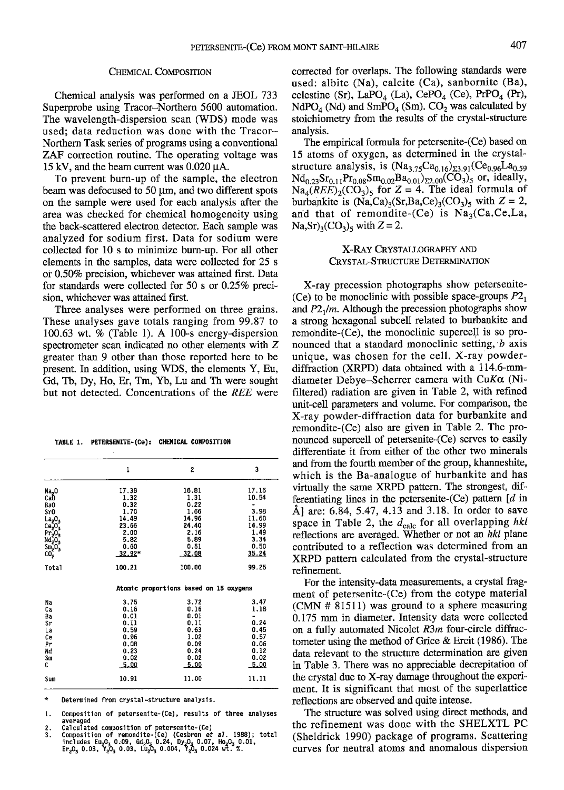#### CHEMICAL COMPOSITION

Chemical analysis was performed on a JEOL 733 Superprobe using Tracor-Northern 5600 automation. The wavelength-dispersion scan (WDS) mode was used; data reduction was done with the Tracor-Northern Task series of programs using a conventional ZAF correction routine. The operating voltage was 15 kV, and the beam current was  $0.020 \mu A$ .

To prevent burn-up of the sample, the electron beam was defocused to 50  $\mu$ m, and two different spots on the sample were used for each analysis after the area was checked for chemical homogeneity using the back-scattered electron detector. Each sample was analyzed for sodium first. Data for sodium were collected for 10 s to minimize burn-up. For all other elements in the samples, data were collected for 25 s or 0.50% precision, whichever was attained first. Data for standards were collected for 50 s or  $0.25\%$  precision, whichever was attained first.

Three analyses were performed on three grains. These analyses gave totals ranging from 99.87 to 100.63 wt. % (Table 1). A 100-s energy-dispersion spectrometer scan indicated no other elements with Z greater than 9 other than those reported here to be present. In addition, using WDS, the elements Y, Eu, Gd, Tb, Dy, Ho, Er, Tm, Yb, Lu and Th were sought but not detected. Concentrations of the REE were

|  |  | TABLE 1. PETERSENITE-(Ce): CHEMICAL COMPOSITION |  |  |  |
|--|--|-------------------------------------------------|--|--|--|
|--|--|-------------------------------------------------|--|--|--|

|                                                                                                                                                                           | ı                                                                                   | 2                                                                                | 3                                                                         |
|---------------------------------------------------------------------------------------------------------------------------------------------------------------------------|-------------------------------------------------------------------------------------|----------------------------------------------------------------------------------|---------------------------------------------------------------------------|
| Na <sub>2</sub> 0<br>CaD<br>Ba0<br>Sr0<br>$\begin{array}{l} \mathsf{La}_2\mathsf{O}_3 \\ \mathsf{Ce}_2\mathsf{O}_3 \end{array}$<br>$Pr20$ ,<br>Nd, 0.<br>$Sm_2O_3$<br>coz | 17.38<br>1.32<br>0.32<br>1.70<br>14.49<br>23.66<br>2.00<br>5.82<br>0.60<br>$32.92*$ | 16.81<br>1.31<br>0.22<br>1.66<br>14.96<br>24.40<br>2.16<br>5.89<br>0.51<br>32.08 | 17.16<br>10.54<br>3.98<br>11.60<br>14.99<br>1.49<br>3.34<br>0.50<br>35.24 |
| Total                                                                                                                                                                     | 100.21                                                                              | 100.00                                                                           | 99.25                                                                     |
|                                                                                                                                                                           |                                                                                     | Atomic proportions based on 15 oxygens                                           |                                                                           |
| Na<br>Сa<br>Ba<br>Sr<br>La<br>Ce<br>Pr<br>Nd<br>Sm<br>c                                                                                                                   | 3.75<br>0.16<br>0.01<br>0.11<br>0.59<br>0.96<br>0.08<br>0.23<br>0.02<br>5.00        | 3.72<br>0.16<br>0.01<br>0.11<br>0.63<br>1.02<br>0.09<br>0.24<br>0.02<br>5.00     | 3.47<br>1.18<br>0.24<br>0.45<br>0.57<br>0.06<br>0.12<br>0.02<br>5.00      |
| Sum                                                                                                                                                                       | 10.91                                                                               | 11.00                                                                            | 11.11                                                                     |

ŵ Determined from crystal-structure analysis.

t . Composition of petersenite-(Ce), results of three analyses averag{

Calculated composition of petersenite-(Ce)<br>Composition of remondite-(Ce) (Cesbron *et al.* 1988); total<br>includes Eu,Q<sub>3</sub> 0.03, Lu<sub>2</sub>Q<sub>3</sub> 0.004, Y<sub>2</sub>Q<sub>3</sub> 0.024 wt. %.<br>Er,Q<sub>3</sub> 0.03, Y<sub>2</sub>Q<sub>3</sub> 0.03, Lu<sub>2</sub>Q<sub>3</sub> 0.004, Y<sub>2</sub>Q<sub>3</sub> 0  $\overline{3}$ .

corrected for overlaps. The following standards were used: albite (Na), calcite (Ca), sanbornite (Ba), celestine (Sr), LaPO<sub>4</sub> (La), CePO<sub>4</sub> (Ce), PrPO<sub>4</sub> (Pr),  $NdPO<sub>4</sub>$  (Nd) and SmPO<sub>4</sub> (Sm).  $CO<sub>2</sub>$  was calculated by stoichiometry from the results of the crystal-structure analysis.

The empirical formula for petersenite-(Ce) based on 15 atoms of oxygen, as determined in the crystalstructure analysis, is  $(Na_{3.75}Ca_{0.16})_{\Sigma_{3.91}}(Ce_{0.96}La_{0.59})$  $\text{Nd}_{0.23}\text{Sr}_{0.11}\text{Pr}_{0.08}\text{Sm}_{0.02}\text{Ba}_{0.01}\text{J}_{\Sigma2.00}(\text{CO}_3)_{\text{5}}$  or, ideally,  $\text{Na}_4(REE)_2(\text{CO}_3)_{\text{5}}$  for Z = 4. The ideal formula of burbankite is  $(Na,Ca)_{3}(Sr,Ba,Ce)_{3}(CO<sub>3</sub>)_{5}$  with  $Z = 2$ , and that of remondite-(Ce) is  $Na<sub>3</sub>(Ca, Ce, La,$  $Na, Sr$ <sub>3</sub>(CO<sub>3</sub>)<sub>5</sub> with  $Z = 2$ .

#### X-RAY CRYSTALLOGRAPHY AND CRYSTAL-STRUCTURE DETERMINATION

X-ray precession photographs show petersenite-(Ce) to be monoclinic with possible space-groups  $P2_1$ and  $P2<sub>1</sub>/m$ . Although the precession photographs show a strong hexagonal subcell related to burbankite and remondite-(Ce), the monoclinic supercell is so pronounced that a standard monoclinic setting,  $b$  axis unique, was chosen for the cell. X-ray powderdiffraction (XRPD) data obtained with a 114.6-mmdiameter Debye-Scherrer camera with CuK $\alpha$  (Nifiltered) radiation are given in Table 2, with refined unit-cell parameters and volume. For comparison, the X-ray powder-diffraction data for burbankite and remondite-(Ce) also are given in Table 2. The pronounced supercell of petersenite-(Ce) serves to easily differentiate it from either of the other two minerals and from the fourth member of the group, khanneshite, which is the Ba-analogue of burbankite and has virtually the same XRPD pattern. The strongest, differentiating lines in the petersenite-(Ce) pattern  $[d]$  in Al are: 6.84, 5.47, 4.13 and 3.18. In order to save space in Table 2, the  $d_{\text{calc}}$  for all overlapping hkl reflections are averaged. Whether or not an hkl plane contributed to a reflection was determined from an XRPD pattern calculated from the crystal-structure refinement.

For the intensity-data measurements, a crystal fragment of petersenite-(Ce) from the cotype material (CMN  $# 81511$ ) was ground to a sphere measuring 0.175 mm in diameter. Intensity data were collected on a fully automated Nicolet  $R3m$  four-circle diffractometer using the method of Grice & Ercit (1986). The data relevant to the structure determination are given in Table 3. There was no appreciable decrepitation of the crystal due to X-ray damage throughout the experiment. It is significant that most of the superlattice reflections are observed and quite intense.

The structure was solved using direct methods, and the refinement was done with the SHELXTL PC (Sheldrick 1990) package of programs. Scattering curves for neutral atoms and anomalous dispersion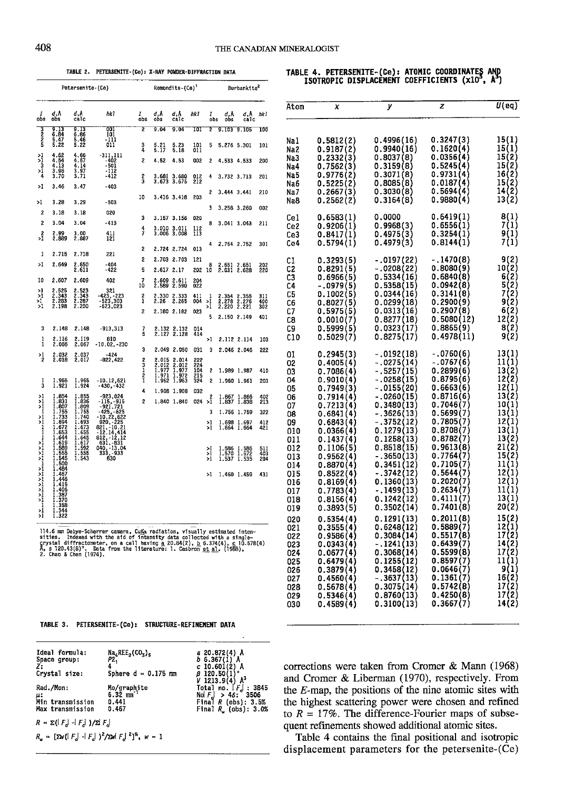Atom

 $\overline{\mathbf{x}}$ 

TABLE 2. PETERSENITE-(Ce): X-RAY POWDER-DIFFRACTION DATA

# TABLE 4. PETERSENITE-(Ce): ATOMIC COORDINATES AND<br>ISOTROPIC DISPLACEMENT COEFFICIENTS (x10<sup>3</sup>, A<sup>3</sup>)

 $\overline{y}$ 

 $\overline{z}$ 

 $U$ (eg)

|                                            | Petersenite-(Ce)                                                                                     |                                                     |                                                                                                                                           |                | Remondite-(Ce)                   |                                  |                   | Burbankite <sup>2</sup> |                                           |                                                        |                   |
|--------------------------------------------|------------------------------------------------------------------------------------------------------|-----------------------------------------------------|-------------------------------------------------------------------------------------------------------------------------------------------|----------------|----------------------------------|----------------------------------|-------------------|-------------------------|-------------------------------------------|--------------------------------------------------------|-------------------|
| Ŧ<br>obs                                   | d, A<br>obs                                                                                          | d, À<br>calc                                        | hk 1                                                                                                                                      | I<br>obs       | d,Å<br>obs                       | d, A<br>calc                     | hk 1              | Ĩ<br>obs                | d, Å<br>obs                               | d,Å<br>calc                                            | hk l              |
| <b>JANNA</b>                               | $9.13$<br>6.84<br>5.47<br>5.22                                                                       | 9.13<br>6.86                                        | 001<br>101                                                                                                                                | 2              | 9.04                             | 9.04                             | 101               | 2                       |                                           | $9.103$ $9.105$                                        | 100               |
|                                            |                                                                                                      | 5.46<br>5.22                                        | -111<br>011                                                                                                                               | 3              | $\frac{5.21}{5.17}$              | 5.23<br>5.18                     | 101<br>011        | 5                       | 5.276 5.301                               |                                                        | 101               |
| $>1$<br>$>1$<br>$-3$<br>$-4$               | 4.62<br>4.54<br>4.13<br>3.96<br>3.70                                                                 | $4.66$<br>$4.57$                                    | $-311,111$<br>$-402$<br>$-501$                                                                                                            | Ż              | 4.52                             | 4.53                             | 002               | 2                       | 4,533 4.533                               |                                                        | 200               |
|                                            |                                                                                                      | $4.14$<br>$3.97$<br>3.71                            | -112<br>$-412$                                                                                                                            | 2<br>3         | 3.681<br>3.673                   | 3.680<br>3.675                   | 012<br>212        | 4                       | 3.732 3.713                               |                                                        | 201               |
| >1                                         | 3.46                                                                                                 | 3.47                                                | $-403$                                                                                                                                    |                |                                  |                                  |                   | 2                       | 3.444 3.441                               |                                                        | 210               |
| >1                                         | 3.28                                                                                                 | 3.29                                                | $-503$                                                                                                                                    | 10             |                                  | 3.416 3.418                      | 203               |                         |                                           |                                                        |                   |
| 2                                          | 3.18                                                                                                 | 3.18                                                | 020                                                                                                                                       |                |                                  |                                  |                   | 3                       | 3.258 3.260                               |                                                        | 002               |
| 2                                          | 3.04                                                                                                 | 3.04                                                | $-413$                                                                                                                                    | 3              |                                  | 3.157 3.156                      | 020               | 8                       | 3.041 3.043                               |                                                        | 211               |
| $\frac{2}{21}$                             | 2.99<br>2.889                                                                                        | 3.00<br>2.887                                       | 411<br>121                                                                                                                                | 4<br>7         |                                  | 3.010 3.011<br>3.006 3.008       | 112<br>113        |                         |                                           |                                                        |                   |
|                                            |                                                                                                      |                                                     |                                                                                                                                           | 2              |                                  | 2.724 2.724                      | 013               | 4                       | 2.754 2.752                               |                                                        | 301               |
| $\mathbf{1}$<br>>1                         | 2.715<br>2.649                                                                                       | 2.718<br>2.650                                      | 221<br>$-404$                                                                                                                             | 2              |                                  | 2.703 2.703                      | 121               | 8                       |                                           |                                                        |                   |
|                                            |                                                                                                      | 2.611                                               | -422                                                                                                                                      | 5              | 2.617 2.17                       |                                  | 202               | 10                      | $2.651$<br>$2.631$                        | $2.651$<br>2.628                                       | 202<br>220        |
| 10                                         | 2.607                                                                                                | 2.609                                               | 402                                                                                                                                       | 10             |                                  | 2.609 2.611<br>2.589 2.590       | 204<br>622        |                         |                                           |                                                        |                   |
| ٠ı<br>>i<br>>1<br>>1                       | 2.525<br>$2.343$<br>$2.283$                                                                          | 2.523<br>$\frac{2.343}{2.287}$                      | 321<br>-423, -223<br>-523, 303<br>-623, 023                                                                                               | $\frac{2}{1}$  | 2.26                             | 2.330 2.333<br>2.265             | 411<br>004        | ı<br>氯                  | 2.354 2.355<br>2.278 2.276<br>2.220 2.221 |                                                        | 311<br>400        |
|                                            | 2.198                                                                                                |                                                     |                                                                                                                                           | $\overline{c}$ |                                  | 2.180 2.182                      | 023               | 5                       | 2.150 2.149                               |                                                        | 302<br>401        |
| 3                                          | 2.148                                                                                                | 2.148                                               |                                                                                                                                           | 7              |                                  |                                  |                   |                         |                                           |                                                        |                   |
|                                            | 2.116                                                                                                | 2.119                                               | $-913,313$<br>810                                                                                                                         | 5              | 2.132<br>2.127                   | $2.132$<br>$2.128$               | 014<br>414        | >1                      |                                           | 2.112 2.114                                            | 103               |
| ļ                                          | 2.066                                                                                                | 2.067                                               | -10.02,-230                                                                                                                               | 3              |                                  | 2.049 2.050                      | 031               | з                       |                                           | 2.046 2.046                                            | 222               |
| 길                                          | 2.032<br>2.018                                                                                       | 2.037<br>2.017                                      | -424<br>$-822, 422$                                                                                                                       | 23121          | 2.015<br>2.012<br>1.977<br>1.971 | 2.014<br>2.012<br>1.977<br>1.972 | 222<br>224        | 2                       |                                           | 1.989 1.987                                            | 410               |
| $\frac{1}{3}$                              | 1.965                                                                                                | 1.965                                               | $-10.12,621$                                                                                                                              |                | 1.962                            | 1.963                            | 104<br>215<br>324 | $\overline{c}$          |                                           | 1.960 1.961                                            | 203               |
|                                            | 1.921<br>1.854                                                                                       | 1.924<br>I.855<br>1.836                             | $-430, -432$<br>$-923,024$<br>$-115, -915$<br>$-921, 721$                                                                                 | 4<br>2         |                                  | 1.908 1.908<br>1.840 1.840       | 032<br>024        | 2<br>>ī                 | 1.867<br>1.837                            | $\frac{1.866}{1.838}$                                  | 402<br>213        |
|                                            | $\frac{1.831}{1.807}$                                                                                | 1.809                                               |                                                                                                                                           |                |                                  |                                  |                   | 3                       |                                           | 1.756 1.759                                            | 322               |
|                                            | $\frac{1.755}{1.733}$<br>1.733<br>1.694                                                              | $\frac{1.755}{1.740}$<br>1.693                      |                                                                                                                                           |                |                                  |                                  |                   | >1                      | 1.698                                     | 1.697                                                  | 412               |
|                                            | 1.672<br>1.653<br>$\frac{1.644}{1.619}$                                                              | $1.673$<br>$1.655$<br>$1.645$<br>$1.617$<br>$1.592$ | $-921, 721$<br>$-425, -625$<br>$-10.22, 622$<br>$920, -225$<br>$821, -10.21$<br>$-12.12$<br>$812, -12.12$<br>$631, -831$<br>$040, -13.04$ |                |                                  |                                  |                   | ۶Ï                      |                                           | 1.664 1.664                                            | 42 Ī              |
|                                            | $\frac{1.589}{1.555}$<br>$\frac{1.545}{1.500}$                                                       | 1.555<br>1.543                                      | 040, 13.04<br>333, -933<br>830                                                                                                            |                |                                  |                                  |                   | >1<br>>1<br>>1          | 1.586<br>1.570<br>1.537                   | $\begin{array}{c} 1.586 \\ 1.572 \\ 1.535 \end{array}$ | 511<br>403<br>204 |
| ドレートレー しょくさん しょうこく<br>اد<br>أ<br>آ<<br>الا | 1.484<br>1.467<br>1.446<br>1.415<br>1.405<br>$\frac{1.387}{1.370}$<br>$\frac{1.358}{1.344}$<br>1.344 |                                                     |                                                                                                                                           |                |                                  |                                  |                   | >1                      |                                           | 1.460 1.459                                            | 431               |

114.6 mm Debye-Scherrer camera, CuKa radiation, visually estimated inten-<br>sities. Indexed with the aid of intensity data collected with a single-<br>crystal diffractometer, on a cell having a 20.84(2), b 6.374(4), c 10.578(4

#### TABLE 3. PETERSENITE-(Ce): STRUCTURE-REFINEMENT DATA

| Ideal formula:<br>Space group:            | $Na_4REE_2(CO_3)$<br>P2.             | a 20.872(4) A<br>$b$ 6.367(1) A         |
|-------------------------------------------|--------------------------------------|-----------------------------------------|
| z.                                        |                                      | c 10.601(2) A                           |
| Crystal size:                             | Sphere $d = 0.175$ mm                | $\beta$ 120.50(1)                       |
|                                           |                                      | $V$ 1213.9(4)<br>- A <sup>3</sup>       |
|                                           |                                      |                                         |
| Rad./Mon:                                 |                                      | Total no. $\lceil F_o \rceil$<br>: 3845 |
|                                           | Mo/graphite<br>6.32 mm <sup>-1</sup> | Nol $F_q$ > 46: $3506$                  |
| μ:<br>Min transmission                    | 0.441                                | Final $R$ (obs): $3.5%$                 |
|                                           |                                      |                                         |
| Max transmission                          | 0.467                                | Final $R_a$ (obs): $3.0\%$              |
|                                           |                                      |                                         |
| $R = \Sigma([F_s] - [F_s]) / \Sigma[F_s]$ |                                      |                                         |
|                                           |                                      |                                         |
|                                           |                                      |                                         |

 $R_u = [\Sigma w (|F_o| - |F_e|)^2 / \Sigma w |F_o|^{2}]^2$ ,  $w = 1$ 

corrections were taken from Cromer & Mann (1968) and Cromer & Liberman (1970), respectively. From the  $E$ -map, the positions of the nine atomic sites with the highest scattering power were chosen and refined to  $R = 17\%$ . The difference-Fourier maps of subsequent refinements showed additional atomic sites.

Table 4 contains the final positional and isotropic displacement parameters for the petersenite-(Ce)

| Nal<br>Na2<br>Na3<br>Na4<br>Na5<br>Na6<br>Na7<br>Na8                                                                                                                                           | 0.5812(2)<br>0.9187(2)<br>0.2332(3)<br>0.7562(3)<br>0.9776(2)<br>0.5225(2)<br>0.2667(3)<br>0.2562(2)                                                                                                                                                                                                                                                                                  | 0.4996(16)<br>0.9940(16)<br>0.8037(8)<br>0.3159(8)<br>0.3071(8)<br>0.8085(8)<br>0.3030(8)<br>0.3164(8)                                                                                                                                                                                                                                                                                                                                     | 0.3247(3)<br>0.1620(4)<br>0.0356(4)<br>0.5245(4)<br>0.9731(4)<br>0.0187(4)<br>0.5694(4)<br>0.9880(4)                                                                                                                                                                                                                                                                                      | 15(1)<br>15(1)<br>15(2)<br>15(2)<br>16(2)<br>15(2)<br>14(2)<br>13(2)                                                                                                                                                                                                                                   |
|------------------------------------------------------------------------------------------------------------------------------------------------------------------------------------------------|---------------------------------------------------------------------------------------------------------------------------------------------------------------------------------------------------------------------------------------------------------------------------------------------------------------------------------------------------------------------------------------|--------------------------------------------------------------------------------------------------------------------------------------------------------------------------------------------------------------------------------------------------------------------------------------------------------------------------------------------------------------------------------------------------------------------------------------------|-------------------------------------------------------------------------------------------------------------------------------------------------------------------------------------------------------------------------------------------------------------------------------------------------------------------------------------------------------------------------------------------|--------------------------------------------------------------------------------------------------------------------------------------------------------------------------------------------------------------------------------------------------------------------------------------------------------|
| Cel<br>Ce2<br>Ce3<br>Ce4                                                                                                                                                                       | 0.6583(1)<br>0.9206(1)<br>0.8417(1)<br>0.5794(1)                                                                                                                                                                                                                                                                                                                                      | 0.0000<br>0.9968(3)<br>0.4975(3)<br>0.4979(3)                                                                                                                                                                                                                                                                                                                                                                                              | 0.6419(1)<br>0.6556(1)<br>0.3254(1)<br>0.8144(1)                                                                                                                                                                                                                                                                                                                                          | 8(1)<br>7(1)<br>9(1)<br>7(1)                                                                                                                                                                                                                                                                           |
| C1<br>C2<br>C3<br>C4<br>C5<br>C6<br>C7<br>C8<br>C9<br>C10                                                                                                                                      | 0.3293(5)<br>0.8291(5)<br>0.6966(5)<br>-.0979(5)<br>0.1002(5)<br>0.8027(5)<br>0.5975(5)<br>0.0010(7)<br>0.5999(5)<br>0.5029(7)                                                                                                                                                                                                                                                        | $-.0197(22)$<br>$-.0208(22)$<br>0.5334(16)<br>0.5358(15)<br>0.0344(16)<br>0.0299(18)<br>0.0313(16)<br>0.8277(18)<br>0.0323(17)<br>0.8275(17)                                                                                                                                                                                                                                                                                               | -.1470(8)<br>0.8080(9)<br>0.6840(8)<br>0.0942(8)<br>0.3141(8)<br>0.2900(9)<br>0.2907(8)<br>0.5080(12)<br>0.8865(9)<br>0.4978(11)                                                                                                                                                                                                                                                          | 9(2)<br>10(2)<br>6(2)<br>5(2)<br>$7(2)$<br>9(2)<br>$\frac{6(2)}{12(2)}$<br>8(2)<br>9(2)                                                                                                                                                                                                                |
| 01<br>02<br>03<br>04<br>05<br>06<br>07<br>08<br>09<br>010<br>011<br>012<br>013<br>014<br>015<br>016<br>017<br>018<br>019<br>020<br>021<br>022<br>023<br>024<br>025<br>026<br>027<br>028<br>029 | 0.2945(3)<br>0.4005(4)<br>0.7086(4)<br>0.9010(4)<br>0.7949(3)<br>0.7914(4)<br>0.7213(4)<br>0.6841(4)<br>0.6843(4)<br>0.0366(4)<br>0.1437(4)<br>0.1106(5)<br>0.9562(4)<br>0.8870(4)<br>0.8522(4)<br>0.8169(4)<br>0.7783(4)<br>0.8156(4)<br>0.3893(5)<br>0.5354(4)<br>0.3555(4)<br>0.9586(4)<br>0.0343(4)<br>0.0677(4)<br>0.6479(4)<br>0.3879(4)<br>0.4560(4)<br>0.5678(4)<br>0.5346(4) | $-.0192(18)$<br>$-.0275(14)$<br>$-.5257(15)$<br>$-.0258(15)$<br>$-.0155(20)$<br>-.0260(15)<br>0.3480(13)<br>$-.3626(13)$<br>$-.3752(12)$<br>0.1279(13)<br>0.1258(13)<br>0.8518(15)<br>$-.3650(13)$<br>0.3451(12)<br>$-.3742(12)$<br>0.1360(13)<br>$-.1499(13)$<br>0.1242(12)<br>0.3502(14)<br>0.1291(13)<br>0.6248(12)<br>0.3084(14)<br>$-.1241(13)$<br>0.3068(14)<br>0.1255(12)<br>0.3458(12)<br>$-.3637(13)$<br>0.3075(14)<br>0.8760(13) | $-.0760(6)$<br>$-.0767(6)$<br>0.2899(6)<br>0.8795(6)<br>0.6663(6)<br>0.8716(6)<br>0.7046(7)<br>0.5699(7)<br>0.7805(7)<br>0.8708(7)<br>0.8782(7)<br>0.9613(8)<br>0.7764(7)<br>0.7105(7)<br>0.5644(7)<br>0.2020(7)<br>0.2634(7)<br>0.4111(7)<br>0.7401(8)<br>0.2011(8)<br>0.5889(7)<br>0.5517(8)<br>0.6439(7)<br>0.5599(8)<br>0.8597(7)<br>0.0646(7)<br>0.1361(7)<br>0.5742(8)<br>0.4250(8) | 13(1)<br>11(1)<br>13(2)<br>12(2)<br>12(1)<br>13(2)<br>10(1)<br>13(1)<br>12(1)<br>13(1)<br>13(2)<br>21(2)<br>15(2)<br>11(1)<br>$\begin{array}{c} 12(1) \\ 12(1) \end{array}$<br>11(1)<br>13(1)<br>20(2)<br>15(2)<br>$\frac{12(1)}{17(2)}$<br>14(2)<br>17(2)<br>11(1)<br>(1)<br>(2)16<br>17(2)<br>17 (2) |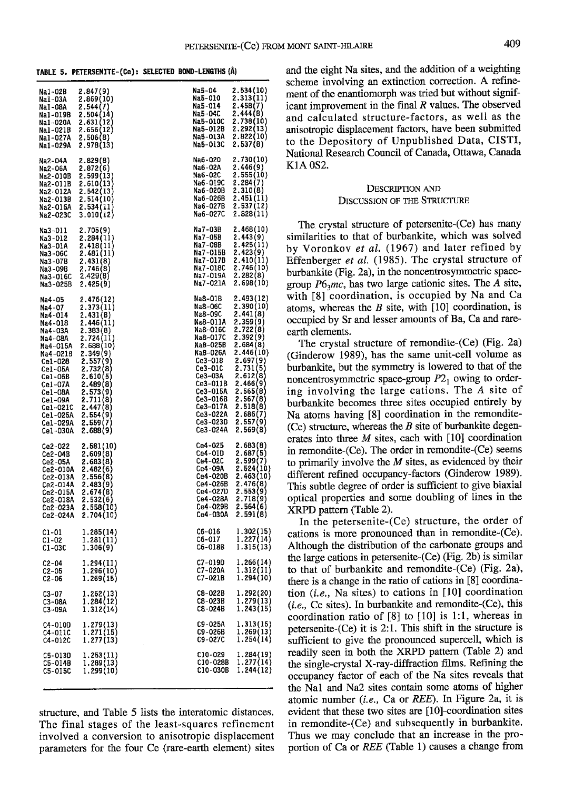| Na1-02B<br>Na1-03A<br>Na1-08A<br>Na1-019B<br><b>Na1-020A</b><br><b>Nal-021B</b><br>Nal-027A<br>Nal-029A                                                                                                       | 2.847(9)<br>2.869(10)<br>2.544(7)<br>2.504(14)<br>2.631(12)<br>2.656(12)<br>2.506(8)<br>2.978(13)                                                                                                                                             | 2.534(10)<br>Na5-04<br>Na5-010<br>2.313(11)<br>2.458(7)<br>Na5-014<br>Na5-04C<br>$2.444(8)$<br>$2.738(10)$<br>$2.292(13)$<br>$2.822(10)$<br><b>Na5-010C</b><br>Na5-012B<br>Na5-013A<br>2.537(8)<br>Na5-013C                                                                                                                                                                                                                                                |
|---------------------------------------------------------------------------------------------------------------------------------------------------------------------------------------------------------------|-----------------------------------------------------------------------------------------------------------------------------------------------------------------------------------------------------------------------------------------------|------------------------------------------------------------------------------------------------------------------------------------------------------------------------------------------------------------------------------------------------------------------------------------------------------------------------------------------------------------------------------------------------------------------------------------------------------------|
| Na2-04A<br>Na2-06A<br>Na2-010B<br><b>Na2-011B</b><br>Na2-012A<br>Na2-013B<br>Na2-016A<br>Na2-023C                                                                                                             | 2.829(8)<br>2.872(6)<br>2.599(13)<br>2.610(13)<br>2.542(13)<br>$2.514(10)$<br>$2.534(11)$<br>$3.010(12)$                                                                                                                                      | Na6-020<br>2.730(10)<br>2.446(9)<br>Na6-02A<br>2.555(10)<br><b>Na6-02C</b><br>Na6-019C<br>2.284 (7<br>2.310(8)<br>Na6-020B<br>2.451(11)<br>2.537(12)<br>2.828(11)<br>Na6-026B<br>Na6-027B<br>Na6-027C                                                                                                                                                                                                                                                      |
| <b>Na3-011</b><br>Na3-012<br>Na3-01A<br>Na3-06C<br>Na3-07B<br>Na3-09B<br><b>Na3-016C</b><br>Na3-025B                                                                                                          | 2.705(9)<br>2.284(ll)<br>2.418(11)<br>2.481(11)<br>$2.431(8)$<br>$2.746(8)$<br>$2.429(8)$<br>2.425(9)                                                                                                                                         | Na7-03B<br>2.468(10)<br>Na7-05B<br>2.443(9)<br>Na7-08B<br>2.425(11)<br>2.423(9)<br>Na7-015B<br>2.410(11)<br>2.746(10)<br>2.282(8)<br>2.698(10)<br>Na7-017B<br><b>Na7-018C</b><br>Na7-019A<br>Na7-021A                                                                                                                                                                                                                                                      |
| Na4-05<br>Na4-07<br>Na4-014<br>Na4-018<br>Na4-03A<br>Na4-08A<br>Na4-015A<br>Na4-021B<br>Cel-028<br>Cel-05A<br>Ce1-06B<br>Cel-07A<br><b>Cel-08A</b><br>Ce1-09A<br>Ce1-021C<br>Ce1-025A<br>Ce1-029A<br>Ce1-030A | 2.476(12)<br>$2.373(11)$<br>$2.431(8)$<br>$2.446(11)$<br>$2.383(8)$<br>$2.724(11)$<br>$2.688(10)$<br>2.349(9)<br>$2.557(9)$<br>2.732(8)<br>2.610(5)<br>2.489(8)<br>2.573(9)<br>$2.711(8)$<br>$2.447(8)$<br>$2.554(9)$<br>2.559(7)<br>2.688(9) | Na8-01B<br>2.493(12)<br>2.390(10)<br>Na8-06C<br>2.441(8)<br>Na8-09C<br>2.359(9)<br>Na8-011A<br>2.722(8)<br><b>Na8-016C</b><br>$2.392(9)$<br>$2.684(8)$<br>$2.446(10)$<br>Na8-017C<br>Na8-025B<br>Na8-026A<br>2.697(9)<br>2.731(5)<br>2.612(8)<br>Ce3-018<br>Ce3-01C<br>Ce3-03A<br>2.466(9)<br>Ce3-011B<br>Ce3-015A<br>2.565(8)<br>2.567(8)<br>2.518(8)<br>Ce3-016B<br>Ce3-017A<br>Ce3-022A<br>$2.686(7)$<br>$2.557(9)$<br>Ce3-023D<br>2.569(8)<br>Ce3-024A |
| Ce2-022<br>Ce2-04B<br>Ce2-05A<br>Ce2-010A<br>Ce2-013A<br>Ce2-014A<br>Ce2-015A<br>Ce2-018A<br>Ce2-023A<br>Ce2-024A                                                                                             | $2.581(10)$<br>$2.609(8)$<br>$2.683(8)$<br>2.482(6)<br>2.556(8)<br>2.483(9)<br>2.674(8)<br>$2.532(6)$<br>$2.558(10)$<br>$2.704(10)$                                                                                                           | Ce4-025<br>2.683(8)<br>2.687(5)<br>2.599(7)<br>Ce4-01D<br>Ce4-02C<br>2.524(10)<br>2.463(10)<br>Ce4-09A<br>Ce4-020B<br>$2.476(8)$<br>$2.553(9)$<br>$2.718(9)$<br>$2.564(6)$<br>$2.591(8)$<br>Ce4-026B<br>Ce4-027D<br>Ce4-028A<br>Ce4-029B<br>Ce4-030A                                                                                                                                                                                                       |
| $C1-01$<br>C1-02<br>C1-03C                                                                                                                                                                                    | 1.285(14)<br>1.281(11)<br>1.306(9)                                                                                                                                                                                                            | C6-016<br>1.302(15)<br>1.227(14)<br>1.315(13)<br>C6-017<br>C6-018B                                                                                                                                                                                                                                                                                                                                                                                         |
| C2-04<br>$C2 - 05$<br>C2-06                                                                                                                                                                                   | 1.294(11)<br>1.296(10)<br>1.269(15)                                                                                                                                                                                                           | C7-019D<br>1.266(14)<br>C7-020A<br>1.312(11)<br>1.294(10)<br>C7-021B                                                                                                                                                                                                                                                                                                                                                                                       |
| C3-07<br>C3-08A<br>C3-09A                                                                                                                                                                                     | 1.262(13)<br>1.284(12)<br>1.312(14)                                                                                                                                                                                                           | C8-022B<br>1.292(20)<br>1.279(13)<br>1.243(15)<br>C8-023B<br>C8-024B                                                                                                                                                                                                                                                                                                                                                                                       |
| C4-010D<br>C4-011C<br>C4-012C                                                                                                                                                                                 | 1.279(13)<br>1.271(15)<br>1.277(13)                                                                                                                                                                                                           | C9-025A<br>1.313(15)<br>1.269(13)<br>C9-026B<br>1.254(14)<br>C9-027C                                                                                                                                                                                                                                                                                                                                                                                       |
| C5-013D<br>C5-014B<br>C5-015C                                                                                                                                                                                 | 1.253(11)<br>1.289(13)<br>1.299(10)                                                                                                                                                                                                           | C10-029<br>1.284(19)<br>1.277(14)<br>C10-028B<br>1.244(12)<br>C10-030B                                                                                                                                                                                                                                                                                                                                                                                     |
|                                                                                                                                                                                                               |                                                                                                                                                                                                                                               |                                                                                                                                                                                                                                                                                                                                                                                                                                                            |

structure, and Table 5 lists the interatomic distances. The final stages of the least-squares refinement involved a conversion to anisotropic displacement parameters for the four Ce (rare-earth element) sites

TABLE 5. PETERSENITE-(Ce): SELECTED BOND-LENGTHS (Å) and the eight Na sites, and the addition of a weighting scheme involving an extinction correction. A refinement of the enantiomorph was tried but without significant improvement in the final  $R$  values. The observed and calculated structure-factors, as well as the anisotropic displacement factors, have been submitted to the Depository of Unpublished Data, CISTI, National Research Council of Canada, Ottawa, Canada K1A 0S2.

#### DESCRIPIION AND DISCUSSION OF THE STRUCTURE

The crystal structure of petersenite-(Ce) has many similarities to that of burbankite, which was solved by Voronkov et al. (1967) and later refined by Effenberger et al. (1985). The crystal structure of burbankite (Fig. 2a), in the noncentrosymmetric spacegroup  $P6<sub>3</sub>mc$ , has two large cationic sites. The A site, with [8] coordination, is occupied by Na and Ca atoms, whereas the  $B$  site, with [10] coordination, is occupied by Sr and lesser amounts of Ba, Ca and rareearth elements.

The crystal structure of remondite-(Ce) (Fig. 2a) (Ginderow 1989), has the same unit-cell volume as burbankite, but the symmetry is lowered to that of the noncentrosymmetric space-group  $P2<sub>1</sub>$  owing to ordering involving the large cations. The A site of burbankite becomes three sites occupied entirely by Na atoms having [8] coordination in the remondite-  $(Ce)$  structure, whereas the B site of burbankite degenerates into three  $M$  sites, each with  $[10]$  coordination in remondite-(Ce). The order in remondite-(Ce) seems to primarily involve the  $M$  sites, as evidenced by their different refined occupancy-factors (Ginderow 1989). This subtle degree of order is sufflcient to give biaxial optical properties and some doubling of lines in the XRPD pattern (Table 2).

In the petersenite-(Ce) structure, the order of cations is more pronounced than in remondite-(Ce). Although the distribution of the carbonate groups and the large cations in petersenite-(Ce) (Fig. 2b) is similar to that of burbankite and remondite-(Ce) (Fig. 2a), there is a change in the ratio of cations in [8] coordination  $(i.e., Na sites)$  to cations in [10] coordination  $(i.e., Ce sites)$ . In burbankite and remondite- $(Ce)$ , this coordination ratio of [8] to [10] is l:1, whereas in petersenite-(ce) it is 2:1. This shift in the structure is sufficient to give the pronounced supercell, which is readily seen in both the XRPD pattern (Table 2) and the single-crystal X-ray-diffraction films. Refining the occupancy factor of each of the Na sites reveals that the Nal and Na2 sites contain some atoms of higher atomic number (*i.e.*, Ca or  $REE$ ). In Figure 2a, it is evident that these two sites are  $[10]$ -coordination sites in remondite-(Ce) and subsequently in burbankite. Thus we may conclude that an increase in the proportion of Ca or REE (Table l) causes a change from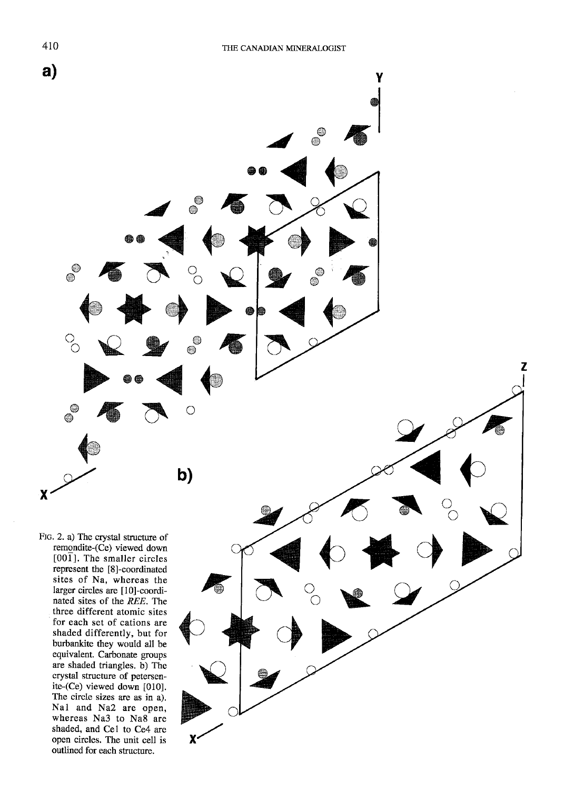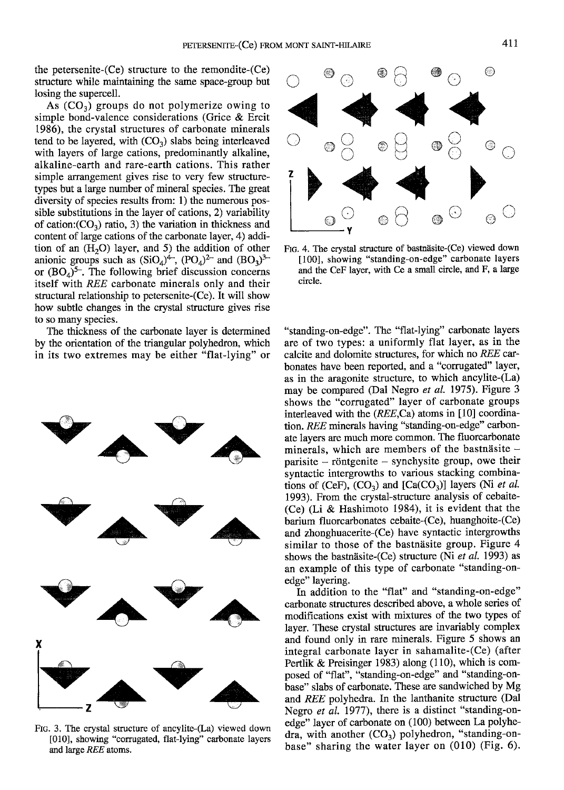the petersenite-(Ce) structure to the remondite-(Ce) structure while maintaining the same space-group but losing the supercell.

As  $(CO_3)$  groups do not polymerize owing to simple bond-valence considerations (Grice & Ercit 1986), the crystal structures of carbonate minerals tend to be layered, with  $(CO_3)$  slabs being interleaved with layers of large cations, predominantly alkaline, alkaline-earth and rare-earth cations. This rather simple arrangement gives rise to very few structuretypes but a large number of mineral species. The great diversity of species results from: 1) the numerous possible substitutions in the layer of cations, 2) variability of cation:  $(CO_3)$  ratio, 3) the variation in thickness and content of large cations of the carbonate layer, 4) addition of an  $(H<sub>2</sub>O)$  layer, and 5) the addition of other anionic groups such as  $(SiO<sub>4</sub>)<sup>4</sup>$ ,  $(PO<sub>4</sub>)<sup>2</sup>$  and  $(BO<sub>3</sub>)<sup>3</sup>$ or  $(BO<sub>A</sub>)<sup>5</sup>$ . The following brief discussion concerns itself with REE carbonate minerals only and their structural relationship to petersenite-(Ce). It will show how subtle changes in the crystal structure gives rise to so many species.

The thickness of the carbonate layer is determined by the orientation of the triangular polyhedron, which in its two extremes may be either "flat-lying" or



Fto. 3. The crystal structure of ancylite-(La) viewed down [010], showing "corrugated, flat-lying" carbonate layers and large REE atoms.



FIG. 4. The crystal structure of bastnäsite-(Ce) viewed down [100], showing "standing-on-edge" carbonate layers and the CeF layer, with Ce a small circle, and F, a large circle.

"standing-on-edge". The "flat-lying" carbonate layers are of two types: a uniformly flat layer, as in the calcite and dolomite structures, for which no REE carbonates have been reported, and a "corrugated" layer, as in the aragonite structure, to which ancylite-(La) may be compared (Dal Negro et al. 1975). Figure 3 shows the "corrugated" layer of carbonate groups interleaved with the (REE,Ca) atoms in [10] coordination. REE minerals having "standing-on-edge" carbonate layers are much more common. The fluorcarbonate minerals, which are members of the bastnäsite  $$ parisite  $-$  röntgenite  $-$  synchysite group, owe their syntactic intergrowths to various stacking combinations of (CeF),  $(CO_3)$  and  $[Ca(CO_3)]$  layers (Ni et al. 1993). From the crystal-structure analysis of cebaite- (Ce) (Li & Hashimoto 1984), it is evident that the barium fluorcarbonates cebaite-(Ce), huanghoite-(Ce) and zhonghuacerite-(Ce) have syntactic intergrowths similar to those of the bastnäsite group. Figure 4 shows the bastnäsite-(Ce) structure (Ni *et al.* 1993) as an example of this type of carbonate "standing-onedge" layering.

In addition to the "flat" and "standing-on-edge" carbonate structures described above, a whole series of modifications exist with mixtures of the two types of layer. These crystal structures are invariably complex and found only in rare minerals. Figure 5 shows an integral carbonate layer in sahamalite-(Ce) (after Pertlik & Preisinger 1983) along (110), which is composed of "flat", "standing-on-edge" and "standing-onbase" slabs of carbonate. These are sandwiched by Mg and REE polyhedra. In the lanthanite structure (Dal Negro et al. 1977), there is a distinct "standing-onedge" layer of carbonate on (100) between La polyhedra, with another  $(CO_3)$  polyhedron, "standing-onbase" sharing the water layer on  $(010)$  (Fig. 6).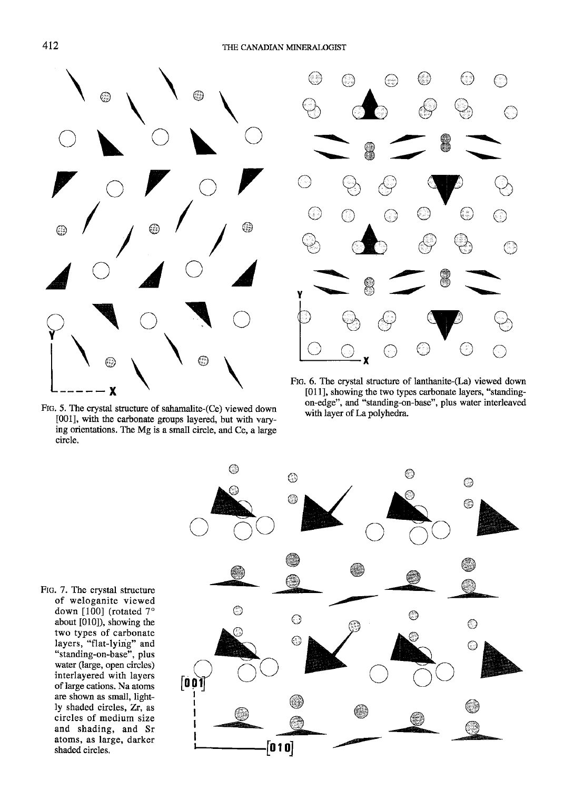

Ftc. 5. The crystal structure of sahamalite-(Ce) viewed down 10011, with the carbonate groups layered, but with varying orientations. The Mg is a small circle, and Ce, a large circle.



FtG. 6. The crystal structure of lanthanite-(La) viewed down [011], showing the two types carbonate layers, "standingon-edge", and "standing-on-base", plus water interleaved with layer of La polyhedra.

FIc. 7. The crystal structure of weloganite viewed down [100] (rotated 7° about [010]), showing the two types of carbonate layers, "flat-lying" and "standing-on-base", plus water (large, open circles) interlayered with layers of large cations. Na atoms are shown as small, lightly shaded circles, Zr, as circles of medium size and shading, and Sr atoms, as large, darker shaded circles.

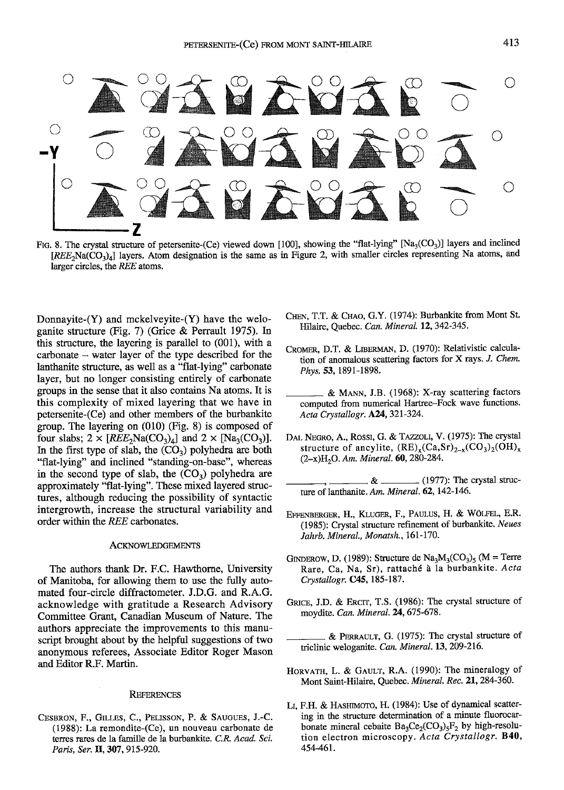

FIG. 8. The crystal structure of petersenite-(Ce) viewed down [100], showing the "flat-lying" [Na<sub>3</sub>(CO<sub>3</sub>)] layers and inclined  $[REE<sub>2</sub>Na(CO<sub>3</sub>)<sub>4</sub>]$  layers. Atom designation is the same as in Figure 2, with smaller circles representing Na atoms, and larger circles, the REE atoms.

Donnayite-(Y) and mckelveyite-(Y) have the weloganite structure (Fig. 7) (Grice & Perrault 1975). In this structure, the layering is parallel to (001), with a carbonate - water layer of the type described for the lanthanite structure, as well as a "flat-lying" carbonate layer, but no longer consisting entirely of carbonate groups in the sense that it also contains Na atoms. It is this complexity of mixed layering that we have in petersenite-(Ce) and other members of the burbankite group. The layering on (010) (Fig. 8) is composed of four slabs;  $2 \times [REE_2Na(CO_3)_4]$  and  $2 \times [Na_3(CO_3)]$ . In the first type of slab, the  $(CO_3)$  polyhedra are both "flat-lying" and inclined "standing-on-base", whereas in the second type of slab, the  $(CO_3)$  polyhedra are approximately "flat-lying". These mixed layered structures, although reducing the possibility of syntactic intergrowth, increase the structural variability and order within the REE carbonates.

#### ACKNOWLEDGEMENTS

The authors thank Dr. F.C. Hawthorne, University of Manitoba, for allowing them to use the fully automated four-circle diffractometer. J.D.G. and R.A.G. acknowledge with gratitude a Research Advisory Committee Grant. Canadian Museum of Nature. The authors appreciate the improvements to this manuscript brought about by the helpful suggestions of two anonymous referees, Associate Editor Roger Mason and Editor R.F. Martin.

#### **REFERENCES**

CESBRON, F., GILLES, C., PELISSON, P. & SAUGUES, J.-C. (1988): La remondite-(Ce), un nouveau carbonate de lerres rares de la famille de la burbankite. C.R. Acad. Sci. Paris, Ser. II, 307, 915-920.

- CHEN, T.T. & CHAO, G.Y. (1974): Burbankite from Mont St. Hilaire, Quebec. Can. Mineral. 12, 342-345.
- CROMER, D.T. & LIBERMAN, D. (1970): Relativistic calculation of anomalous scattering factors for X tays. J. Chem. Phys. 53, 1891-1898.
	- & MANN, J.B. (1968): X-ray scattering faclors computed from numerical Hartree-Fock wave functions. Acta Crystallogr. A24, 321-324.
- DAL NEGRO, A., ROSSI, G. & TAZZOLI, V. (1975): The crystal structure of ancylite,  $(RE)_x(Ca, Sr)_{2-x}(CO_3)_2(OH)_x$  $(2-x)H_2O$ . Am. Mineral. 60, 280-284.
	- ture of lanthanite. Am. Mineral. 62, 142-146.  $\&$   $\qquad \qquad$  (1977): The crystal struc-
- EFFENBERGER, H., KLUGER, F., PAULUS, H. & WÖLFEL, E.R. (1985): Crystal structure refinement of burbankite. Neues Jahrb. Mineral., Monatsh., 161-170.
- GINDEROW, D. (1989): Structure de  $Na<sub>3</sub>M<sub>3</sub>(CO<sub>3</sub>)<sub>5</sub>$  (M = Terre Rare, Ca, Na, Sr), rattaché à la burbankite. Acta Crystallogr. **C45**, 185-187.
- GRICE, J.D. & ERCIT, T.S. (1986): The crystal structure of moydite. Can. Mineral. 24, 675-678.
- $&$  PERRAULT, G. (1975): The crystal structure of triclinic weloganite. Can. Mineral. 13, 209-216.
- HORVATH, L. & GAULT, R.A. (1990): The mineralogy of Mont Saint-Hilaire, Quebec. Mineral. Rec. 21, 284-360.
- LI, F.H. & HASHIMOTO, H. (1984): Use of dynamical scattering in the structure determination of a minute fluorocarbonate mineral cebaite  $Ba_3Ce_2(CO_3)_5F_2$  by high-resolution electron microscopy. Acta Crystallogr. 840, 4s4461.